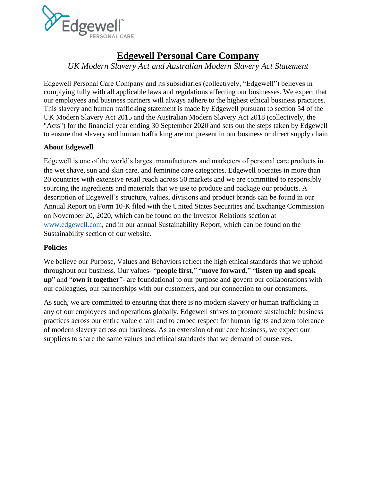

### **Edgewell Personal Care Company**

*UK Modern Slavery Act and Australian Modern Slavery Act Statement*

Edgewell Personal Care Company and its subsidiaries (collectively, "Edgewell") believes in complying fully with all applicable laws and regulations affecting our businesses. We expect that our employees and business partners will always adhere to the highest ethical business practices. This slavery and human trafficking statement is made by Edgewell pursuant to section 54 of the UK Modern Slavery Act 2015 and the Australian Modern Slavery Act 2018 (collectively, the "Acts") for the financial year ending 30 September 2020 and sets out the steps taken by Edgewell to ensure that slavery and human trafficking are not present in our business or direct supply chain

### **About Edgewell**

Edgewell is one of the world's largest manufacturers and marketers of personal care products in the wet shave, sun and skin care, and feminine care categories. Edgewell operates in more than 20 countries with extensive retail reach across 50 markets and we are committed to responsibly sourcing the ingredients and materials that we use to produce and package our products. A description of Edgewell's structure, values, divisions and product brands can be found in our Annual Report on Form 10-K filed with the United States Securities and Exchange Commission on November 20, 2020, which can be found on the Investor Relations section at [www.edgewell.com,](http://www.edgewell.com/) and in our annual Sustainability Report, which can be found on the Sustainability section of our website.

### **Policies**

We believe our Purpose, Values and Behaviors reflect the high ethical standards that we uphold throughout our business. Our values- "**people first**," "**move forward**," "**listen up and speak up**" and "**own it together**"- are foundational to our purpose and govern our collaborations with our colleagues, our partnerships with our customers, and our connection to our consumers.

As such, we are committed to ensuring that there is no modern slavery or human trafficking in any of our employees and operations globally. Edgewell strives to promote sustainable business practices across our entire value chain and to embed respect for human rights and zero tolerance of modern slavery across our business. As an extension of our core business, we expect our suppliers to share the same values and ethical standards that we demand of ourselves.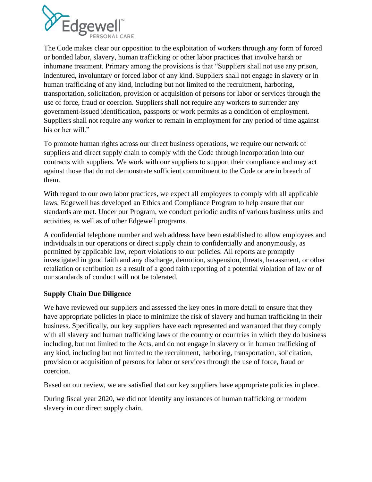

The Code makes clear our opposition to the exploitation of workers through any form of forced or bonded labor, slavery, human trafficking or other labor practices that involve harsh or inhumane treatment. Primary among the provisions is that "Suppliers shall not use any prison, indentured, involuntary or forced labor of any kind. Suppliers shall not engage in slavery or in human trafficking of any kind, including but not limited to the recruitment, harboring, transportation, solicitation, provision or acquisition of persons for labor or services through the use of force, fraud or coercion. Suppliers shall not require any workers to surrender any government-issued identification, passports or work permits as a condition of employment. Suppliers shall not require any worker to remain in employment for any period of time against his or her will."

To promote human rights across our direct business operations, we require our network of suppliers and direct supply chain to comply with the Code through incorporation into our contracts with suppliers. We work with our suppliers to support their compliance and may act against those that do not demonstrate sufficient commitment to the Code or are in breach of them.

With regard to our own labor practices, we expect all employees to comply with all applicable laws. Edgewell has developed an Ethics and Compliance Program to help ensure that our standards are met. Under our Program, we conduct periodic audits of various business units and activities, as well as of other Edgewell programs.

A confidential telephone number and web address have been established to allow employees and individuals in our operations or direct supply chain to confidentially and anonymously, as permitted by applicable law, report violations to our policies. All reports are promptly investigated in good faith and any discharge, demotion, suspension, threats, harassment, or other retaliation or retribution as a result of a good faith reporting of a potential violation of law or of our standards of conduct will not be tolerated.

### **Supply Chain Due Diligence**

We have reviewed our suppliers and assessed the key ones in more detail to ensure that they have appropriate policies in place to minimize the risk of slavery and human trafficking in their business. Specifically, our key suppliers have each represented and warranted that they comply with all slavery and human trafficking laws of the country or countries in which they do business including, but not limited to the Acts, and do not engage in slavery or in human trafficking of any kind, including but not limited to the recruitment, harboring, transportation, solicitation, provision or acquisition of persons for labor or services through the use of force, fraud or coercion.

Based on our review, we are satisfied that our key suppliers have appropriate policies in place.

During fiscal year 2020, we did not identify any instances of human trafficking or modern slavery in our direct supply chain.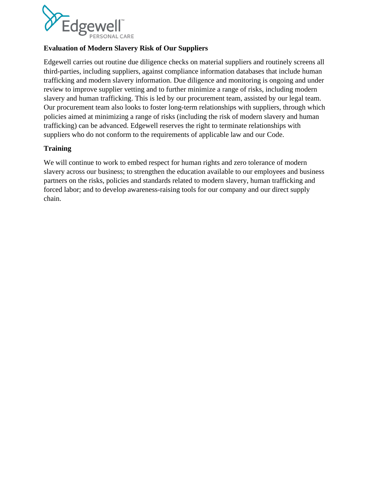

### **Evaluation of Modern Slavery Risk of Our Suppliers**

Edgewell carries out routine due diligence checks on material suppliers and routinely screens all third-parties, including suppliers, against compliance information databases that include human trafficking and modern slavery information. Due diligence and monitoring is ongoing and under review to improve supplier vetting and to further minimize a range of risks, including modern slavery and human trafficking. This is led by our procurement team, assisted by our legal team. Our procurement team also looks to foster long-term relationships with suppliers, through which policies aimed at minimizing a range of risks (including the risk of modern slavery and human trafficking) can be advanced. Edgewell reserves the right to terminate relationships with suppliers who do not conform to the requirements of applicable law and our Code.

### **Training**

We will continue to work to embed respect for human rights and zero tolerance of modern slavery across our business; to strengthen the education available to our employees and business partners on the risks, policies and standards related to modern slavery, human trafficking and forced labor; and to develop awareness-raising tools for our company and our direct supply chain.